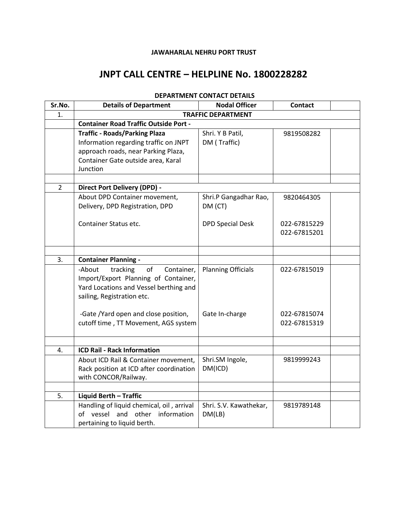### **JAWAHARLAL NEHRU PORT TRUST**

## **JNPT CALL CENTRE – HELPLINE No. 1800228282**

| Sr.No.         | <b>Details of Department</b>                 | <b>Nodal Officer</b>      | <b>Contact</b> |  |  |  |
|----------------|----------------------------------------------|---------------------------|----------------|--|--|--|
| 1.             | <b>TRAFFIC DEPARTMENT</b>                    |                           |                |  |  |  |
|                | <b>Container Road Traffic Outside Port -</b> |                           |                |  |  |  |
|                | <b>Traffic - Roads/Parking Plaza</b>         | Shri. Y B Patil,          | 9819508282     |  |  |  |
|                | Information regarding traffic on JNPT        | DM (Traffic)              |                |  |  |  |
|                | approach roads, near Parking Plaza,          |                           |                |  |  |  |
|                | Container Gate outside area, Karal           |                           |                |  |  |  |
|                | Junction                                     |                           |                |  |  |  |
|                |                                              |                           |                |  |  |  |
| $\overline{2}$ | <b>Direct Port Delivery (DPD) -</b>          |                           |                |  |  |  |
|                | About DPD Container movement,                | Shri.P Gangadhar Rao,     | 9820464305     |  |  |  |
|                | Delivery, DPD Registration, DPD              | DM (CT)                   |                |  |  |  |
|                |                                              |                           |                |  |  |  |
|                | Container Status etc.                        | <b>DPD Special Desk</b>   | 022-67815229   |  |  |  |
|                |                                              |                           | 022-67815201   |  |  |  |
|                |                                              |                           |                |  |  |  |
|                |                                              |                           |                |  |  |  |
| 3.             | <b>Container Planning -</b>                  |                           |                |  |  |  |
|                | -About<br>tracking<br>of<br>Container,       | <b>Planning Officials</b> | 022-67815019   |  |  |  |
|                | Import/Export Planning of Container,         |                           |                |  |  |  |
|                | Yard Locations and Vessel berthing and       |                           |                |  |  |  |
|                | sailing, Registration etc.                   |                           |                |  |  |  |
|                | -Gate /Yard open and close position,         | Gate In-charge            | 022-67815074   |  |  |  |
|                | cutoff time, TT Movement, AGS system         |                           | 022-67815319   |  |  |  |
|                |                                              |                           |                |  |  |  |
|                |                                              |                           |                |  |  |  |
| 4.             | <b>ICD Rail - Rack Information</b>           |                           |                |  |  |  |
|                | About ICD Rail & Container movement,         | Shri.SM Ingole,           | 9819999243     |  |  |  |
|                | Rack position at ICD after coordination      | DM(ICD)                   |                |  |  |  |
|                | with CONCOR/Railway.                         |                           |                |  |  |  |
|                |                                              |                           |                |  |  |  |
| 5.             | Liquid Berth - Traffic                       |                           |                |  |  |  |
|                | Handling of liquid chemical, oil, arrival    | Shri. S.V. Kawathekar,    | 9819789148     |  |  |  |
|                | of vessel and other information              | DM(LB)                    |                |  |  |  |
|                | pertaining to liquid berth.                  |                           |                |  |  |  |

## **DEPARTMENT CONTACT DETAILS**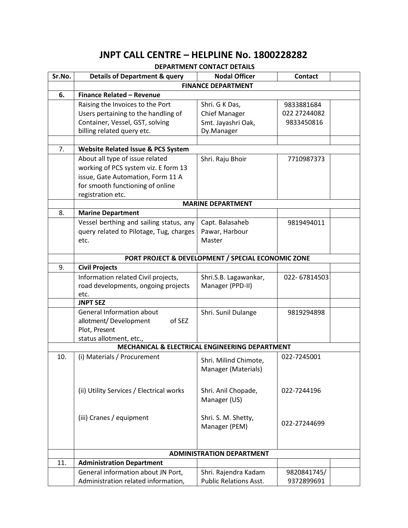# **JNPT CALL CENTRE – HELPLINE No. 1800228282**

### **DEPARTMENT CONTACT DETAILS**

| Sr.No. | <b>Details of Department &amp; query</b>         | <b>Nodal Officer</b>                               | <b>Contact</b> |  |  |  |
|--------|--------------------------------------------------|----------------------------------------------------|----------------|--|--|--|
|        | <b>FINANCE DEPARTMENT</b>                        |                                                    |                |  |  |  |
| 6.     | <b>Finance Related - Revenue</b>                 |                                                    |                |  |  |  |
|        | Raising the Invoices to the Port                 | Shri. G K Das,                                     | 9833881684     |  |  |  |
|        | Users pertaining to the handling of              | <b>Chief Manager</b>                               | 022 27244082   |  |  |  |
|        | Container, Vessel, GST, solving                  | Smt. Jayashri Oak,                                 | 9833450816     |  |  |  |
|        | billing related query etc.                       | Dy.Manager                                         |                |  |  |  |
|        |                                                  |                                                    |                |  |  |  |
| 7.     | Website Related Issue & PCS System               |                                                    |                |  |  |  |
|        | About all type of issue related                  | Shri. Raju Bhoir                                   | 7710987373     |  |  |  |
|        | working of PCS system viz. E form 13             |                                                    |                |  |  |  |
|        | issue, Gate Automation, Form 11 A                |                                                    |                |  |  |  |
|        | for smooth functioning of online                 |                                                    |                |  |  |  |
|        | registration etc.                                |                                                    |                |  |  |  |
|        | <b>MARINE DEPARTMENT</b>                         |                                                    |                |  |  |  |
| 8.     | <b>Marine Department</b>                         |                                                    |                |  |  |  |
|        | Vessel berthing and sailing status, any          | Capt. Balasaheb                                    | 9819494011     |  |  |  |
|        | query related to Pilotage, Tug, charges          | Pawar, Harbour                                     |                |  |  |  |
|        | etc.                                             | Master                                             |                |  |  |  |
|        |                                                  |                                                    |                |  |  |  |
|        |                                                  | PORT PROJECT & DEVELOPMENT / SPECIAL ECONOMIC ZONE |                |  |  |  |
| 9.     | <b>Civil Projects</b>                            |                                                    |                |  |  |  |
|        | Information related Civil projects,              | Shri.S.B. Lagawankar,                              | 022-67814503   |  |  |  |
|        | road developments, ongoing projects              | Manager (PPD-II)                                   |                |  |  |  |
|        | etc.<br><b>JNPT SEZ</b>                          |                                                    |                |  |  |  |
|        |                                                  |                                                    |                |  |  |  |
|        | <b>General Information about</b>                 | Shri. Sunil Dulange                                | 9819294898     |  |  |  |
|        | of SEZ<br>allotment/Development<br>Plot, Present |                                                    |                |  |  |  |
|        | status allotment, etc.,                          |                                                    |                |  |  |  |
|        | MECHANICAL & ELECTRICAL ENGINEERING DEPARTMENT   |                                                    |                |  |  |  |
| 10.    | (i) Materials / Procurement                      |                                                    | 022-7245001    |  |  |  |
|        |                                                  | Shri. Milind Chimote,                              |                |  |  |  |
|        |                                                  | Manager (Materials)                                |                |  |  |  |
|        |                                                  |                                                    |                |  |  |  |
|        | (ii) Utility Services / Electrical works         | Shri. Anil Chopade,                                | 022-7244196    |  |  |  |
|        |                                                  | Manager (US)                                       |                |  |  |  |
|        |                                                  |                                                    |                |  |  |  |
|        | (iii) Cranes / equipment                         | Shri. S. M. Shetty,                                |                |  |  |  |
|        |                                                  | Manager (PEM)                                      | 022-27244699   |  |  |  |
|        |                                                  |                                                    |                |  |  |  |
|        |                                                  |                                                    |                |  |  |  |
|        | <b>ADMINISTRATION DEPARTMENT</b>                 |                                                    |                |  |  |  |
| 11.    | <b>Administration Department</b>                 |                                                    |                |  |  |  |
|        | General information about JN Port,               | Shri. Rajendra Kadam                               | 9820841745/    |  |  |  |
|        | Administration related information,              | <b>Public Relations Asst.</b>                      | 9372899691     |  |  |  |